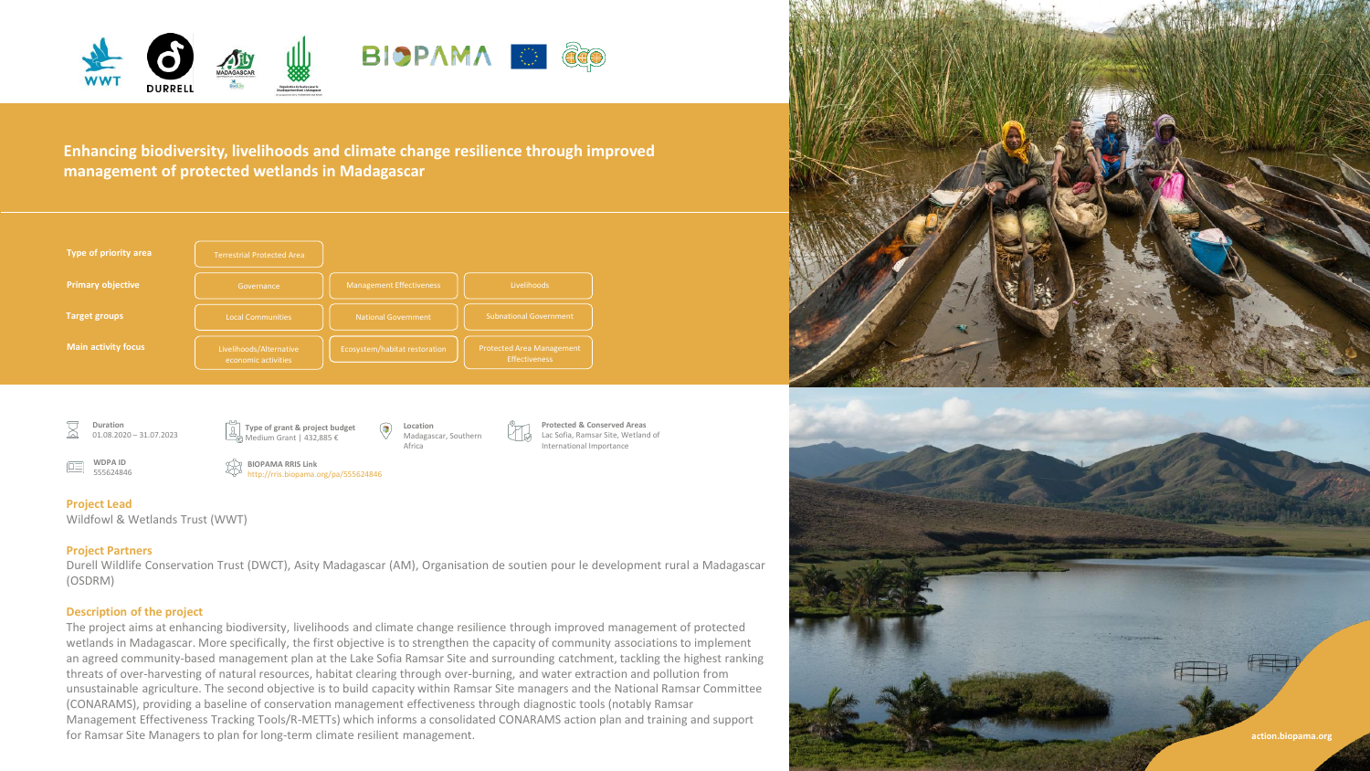

**Enhancing biodiversity, livelihoods and climate change resilience through improved management of protected wetlands in Madagascar**



**Duration** 01.08.2020 – 31.07.2023

> **WDPA ID** 555624846

Medium Grant | 432,885 €

**BIOPAMA RRIS Link**

http://rris.biopama.org/pa/555624846



**Protected & Conserved Areas** Lac Sofia, Ramsar Site, Wetland of International Importance

# **Project Lead**

jΩΞ

Wildfowl & Wetlands Trust (WWT)

# **Project Partners**

Durell Wildlife Conservation Trust (DWCT), Asity Madagascar (AM), Organisation de soutien pour le development rural a Madagascar (OSDRM)

# **Description of the project**

The project aims at enhancing biodiversity, livelihoods and climate change resilience through improved management of protected wetlands in Madagascar. More specifically, the first objective is to strengthen the capacity of community associations to implement an agreed community-based management plan at the Lake Sofia Ramsar Site and surrounding catchment, tackling the highest ranking threats of over-harvesting of natural resources, habitat clearing through over-burning, and water extraction and pollution from unsustainable agriculture. The second objective is to build capacity within Ramsar Site managers and the National Ramsar Committee (CONARAMS), providing a baseline of conservation management effectiveness through diagnostic tools (notably Ramsar Management Effectiveness Tracking Tools/R-METTs) which informs a consolidated CONARAMS action plan and training and support for Ramsar Site Managers to plan for long-term climate resilient management. **action.biopama.org**